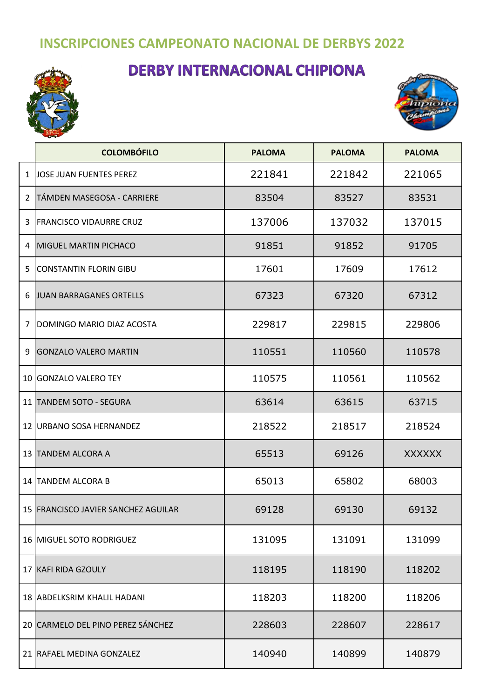## **INSCRIPCIONES CAMPEONATO NACIONAL DE DERBYS 2022**

## **DERBY INTERNACIONAL CHIPIONA**





|    | <b>COLOMBÓFILO</b>                  | <b>PALOMA</b> | <b>PALOMA</b> | <b>PALOMA</b> |
|----|-------------------------------------|---------------|---------------|---------------|
| 1  | JOSE JUAN FUENTES PEREZ             | 221841        | 221842        | 221065        |
| 2  | TÁMDEN MASEGOSA - CARRIERE          | 83504         | 83527         | 83531         |
| 3  | <b>FRANCISCO VIDAURRE CRUZ</b>      | 137006        | 137032        | 137015        |
| 4  | <b>MIGUEL MARTIN PICHACO</b>        | 91851         | 91852         | 91705         |
| 5  | <b>CONSTANTIN FLORIN GIBU</b>       | 17601         | 17609         | 17612         |
| 6  | JUAN BARRAGANES ORTELLS             | 67323         | 67320         | 67312         |
| 7  | DOMINGO MARIO DIAZ ACOSTA           | 229817        | 229815        | 229806        |
| 9  | <b>GONZALO VALERO MARTIN</b>        | 110551        | 110560        | 110578        |
|    | 10 GONZALO VALERO TEY               | 110575        | 110561        | 110562        |
|    | 11 TANDEM SOTO - SEGURA             | 63614         | 63615         | 63715         |
|    | 12 URBANO SOSA HERNANDEZ            | 218522        | 218517        | 218524        |
| 13 | <b>TANDEM ALCORA A</b>              | 65513         | 69126         | <b>XXXXXX</b> |
| 14 | <b>TANDEM ALCORA B</b>              | 65013         | 65802         | 68003         |
|    | 15 FRANCISCO JAVIER SANCHEZ AGUILAR | 69128         | 69130         | 69132         |
|    | 16 MIGUEL SOTO RODRIGUEZ            | 131095        | 131091        | 131099        |
|    | 17 KAFI RIDA GZOULY                 | 118195        | 118190        | 118202        |
|    | 18 ABDELKSRIM KHALIL HADANI         | 118203        | 118200        | 118206        |
|    | 20 CARMELO DEL PINO PEREZ SÁNCHEZ   | 228603        | 228607        | 228617        |
|    | 21 RAFAEL MEDINA GONZALEZ           | 140940        | 140899        | 140879        |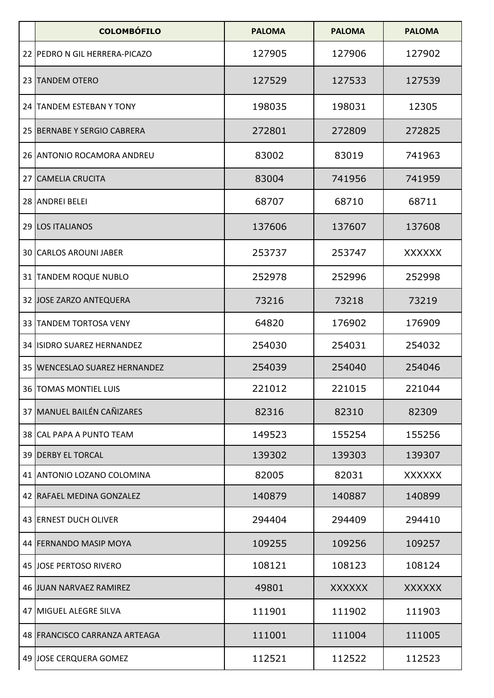| <b>COLOMBÓFILO</b>              | <b>PALOMA</b> | <b>PALOMA</b> | <b>PALOMA</b> |
|---------------------------------|---------------|---------------|---------------|
| 22 PEDRO N GIL HERRERA-PICAZO   | 127905        | 127906        | 127902        |
| 23 TANDEM OTERO                 | 127529        | 127533        | 127539        |
| 24 TANDEM ESTEBAN Y TONY        | 198035        | 198031        | 12305         |
| 25 BERNABE Y SERGIO CABRERA     | 272801        | 272809        | 272825        |
| 26 ANTONIO ROCAMORA ANDREU      | 83002         | 83019         | 741963        |
| 27 CAMELIA CRUCITA              | 83004         | 741956        | 741959        |
| 28 ANDREI BELEI                 | 68707         | 68710         | 68711         |
| 29 LOS ITALIANOS                | 137606        | 137607        | 137608        |
| 30 CARLOS AROUNI JABER          | 253737        | 253747        | <b>XXXXXX</b> |
| 31 TANDEM ROQUE NUBLO           | 252978        | 252996        | 252998        |
| 32 JOSE ZARZO ANTEQUERA         | 73216         | 73218         | 73219         |
| 33 TANDEM TORTOSA VENY          | 64820         | 176902        | 176909        |
| 34 ISIDRO SUAREZ HERNANDEZ      | 254030        | 254031        | 254032        |
| 35   WENCESLAO SUAREZ HERNANDEZ | 254039        | 254040        | 254046        |
| 36   TOMAS MONTIEL LUIS         | 221012        | 221015        | 221044        |
| 37 MANUEL BAILÉN CAÑIZARES      | 82316         | 82310         | 82309         |
| 38 ICAL PAPA A PUNTO TEAM       | 149523        | 155254        | 155256        |
| <b>39 DERBY EL TORCAL</b>       | 139302        | 139303        | 139307        |
| 41 ANTONIO LOZANO COLOMINA      | 82005         | 82031         | <b>XXXXXX</b> |
| 42 RAFAEL MEDINA GONZALEZ       | 140879        | 140887        | 140899        |
| 43 ERNEST DUCH OLIVER           | 294404        | 294409        | 294410        |
| 44 FERNANDO MASIP MOYA          | 109255        | 109256        | 109257        |
| 45 JOSE PERTOSO RIVERO          | 108121        | 108123        | 108124        |
| 46 JUAN NARVAEZ RAMIREZ         | 49801         | <b>XXXXXX</b> | <b>XXXXXX</b> |
| 47 MIGUEL ALEGRE SILVA          | 111901        | 111902        | 111903        |
| 48 FRANCISCO CARRANZA ARTEAGA   | 111001        | 111004        | 111005        |
| 49 JOSE CERQUERA GOMEZ          | 112521        | 112522        | 112523        |